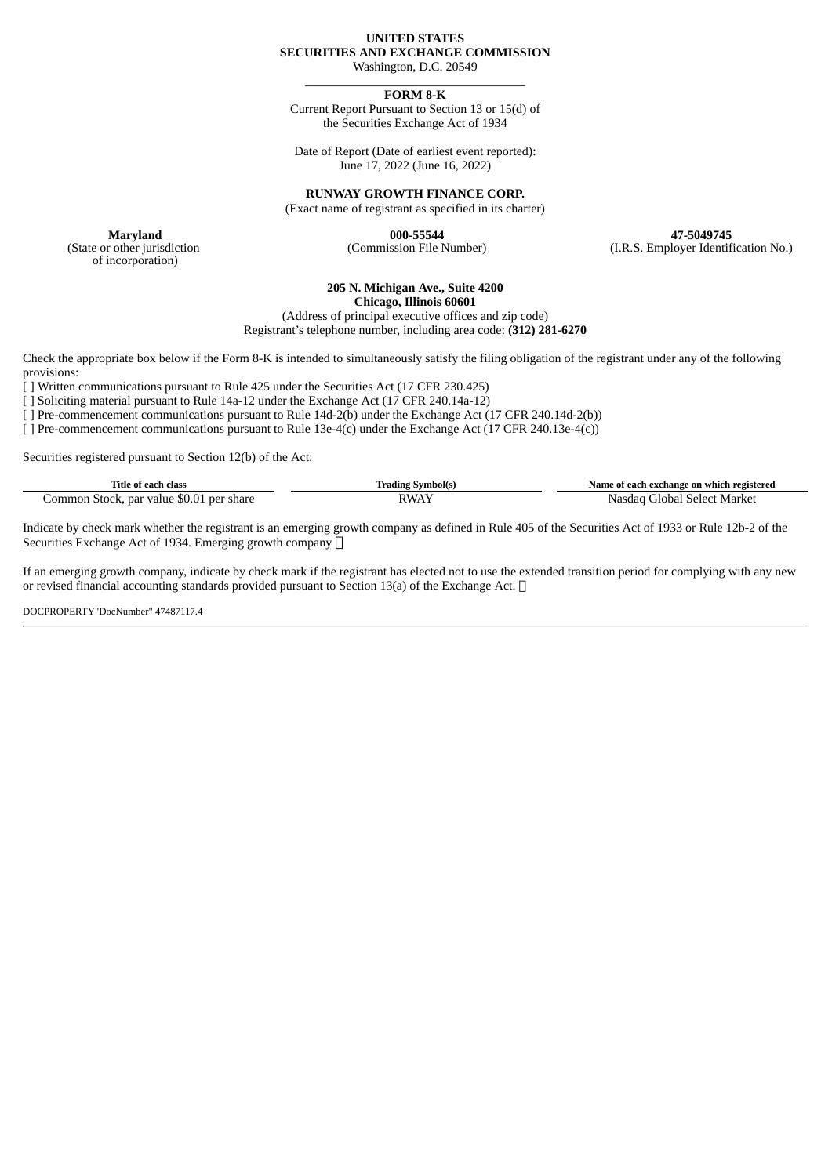## **UNITED STATES SECURITIES AND EXCHANGE COMMISSION**

Washington, D.C. 20549 \_\_\_\_\_\_\_\_\_\_\_\_\_\_\_\_\_\_\_\_\_\_\_\_\_\_\_\_\_\_\_\_\_\_\_

### **FORM 8-K**

Current Report Pursuant to Section 13 or 15(d) of the Securities Exchange Act of 1934

Date of Report (Date of earliest event reported): June 17, 2022 (June 16, 2022)

**RUNWAY GROWTH FINANCE CORP.**

(Exact name of registrant as specified in its charter)

**Maryland 000-55544 47-5049745** (Commission File Number) (I.R.S. Employer Identification No.)

(State or other jurisdiction of incorporation)

# **205 N. Michigan Ave., Suite 4200**

**Chicago, Illinois 60601**

(Address of principal executive offices and zip code) Registrant's telephone number, including area code: **(312) 281-6270**

Check the appropriate box below if the Form 8-K is intended to simultaneously satisfy the filing obligation of the registrant under any of the following provisions:

[ ] Written communications pursuant to Rule 425 under the Securities Act (17 CFR 230.425)

[ ] Soliciting material pursuant to Rule 14a-12 under the Exchange Act (17 CFR 240.14a-12)

[ ] Pre-commencement communications pursuant to Rule 14d-2(b) under the Exchange Act (17 CFR 240.14d-2(b))

[ ] Pre-commencement communications pursuant to Rule 13e-4(c) under the Exchange Act (17 CFR 240.13e-4(c))

Securities registered pursuant to Section 12(b) of the Act:

| Title of each c<br>class                          | * Symbol(s.<br>rading | - Name of each exchange on which registered  |  |
|---------------------------------------------------|-----------------------|----------------------------------------------|--|
| ., par value \$0.01 per share<br>:ommon<br>Stock. | ገ አለ                  | Marker<br>∶∓lobal<br><b>Select</b><br>Nasdad |  |

Indicate by check mark whether the registrant is an emerging growth company as defined in Rule 405 of the Securities Act of 1933 or Rule 12b-2 of the Securities Exchange Act of 1934. Emerging growth company  $\Box$ 

If an emerging growth company, indicate by check mark if the registrant has elected not to use the extended transition period for complying with any new or revised financial accounting standards provided pursuant to Section 13(a) of the Exchange Act.  $\Box$ 

DOCPROPERTY"DocNumber" 47487117.4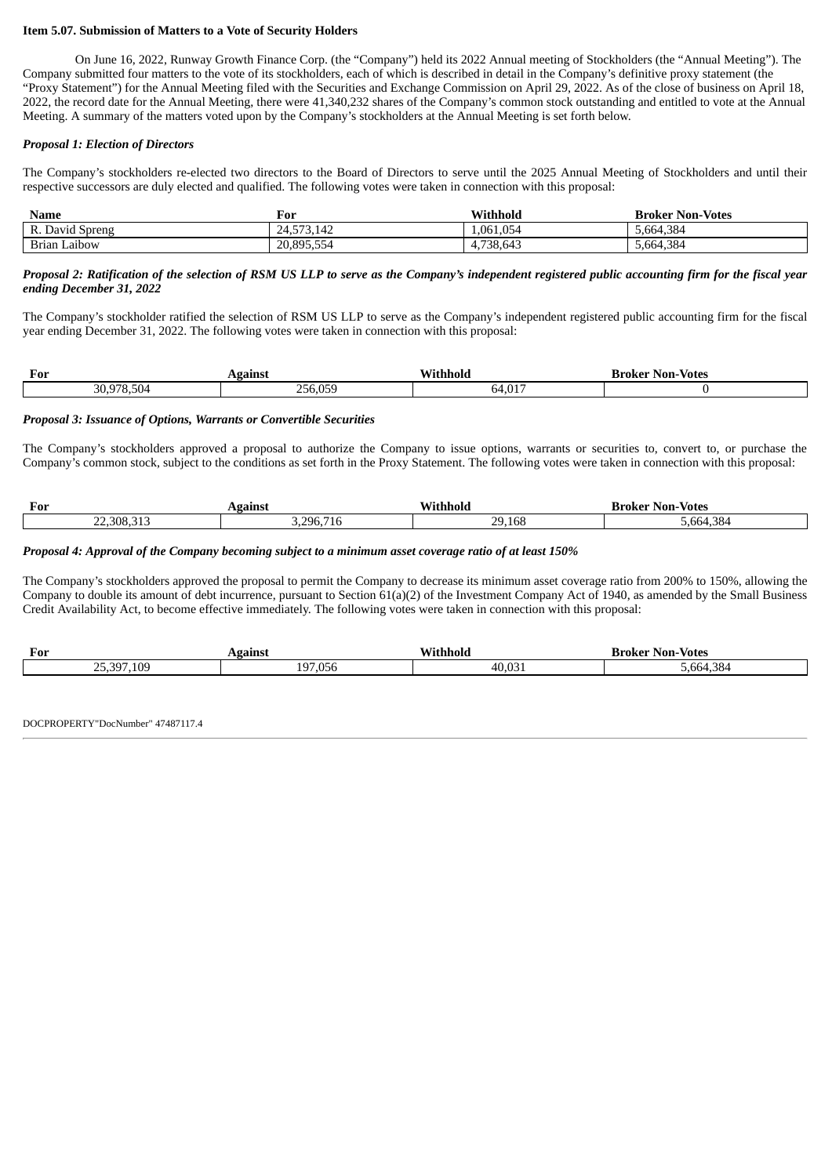#### **Item 5.07. Submission of Matters to a Vote of Security Holders**

On June 16, 2022, Runway Growth Finance Corp. (the "Company") held its 2022 Annual meeting of Stockholders (the "Annual Meeting"). The Company submitted four matters to the vote of its stockholders, each of which is described in detail in the Company's definitive proxy statement (the "Proxy Statement") for the Annual Meeting filed with the Securities and Exchange Commission on April 29, 2022. As of the close of business on April 18, 2022, the record date for the Annual Meeting, there were 41,340,232 shares of the Company's common stock outstanding and entitled to vote at the Annual Meeting. A summary of the matters voted upon by the Company's stockholders at the Annual Meeting is set forth below.

#### *Proposal 1: Election of Directors*

The Company's stockholders re-elected two directors to the Board of Directors to serve until the 2025 Annual Meeting of Stockholders and until their respective successors are duly elected and qualified. The following votes were taken in connection with this proposal:

| <b>Name</b>     | For                                          | Withhold  | <b>Broker Non-Votes</b> |
|-----------------|----------------------------------------------|-----------|-------------------------|
| R. David Spreng | $\overline{A}$<br>3.142 /<br>-<br><b>T.I</b> | 1.061.054 | 5,664,384               |
| Brian Laibow    | 20.895.554                                   | 4,738,643 | 5,664,384               |

#### Proposal 2: Ratification of the selection of RSM US LLP to serve as the Company's independent registered public accounting firm for the fiscal year *ending December 31, 2022*

The Company's stockholder ratified the selection of RSM US LLP to serve as the Company's independent registered public accounting firm for the fiscal year ending December 31, 2022. The following votes were taken in connection with this proposal:

| For                                        | ain                   |       | Non<br><b>Votes</b><br>. |
|--------------------------------------------|-----------------------|-------|--------------------------|
| n <sub>0</sub><br>0.JU $^{\omega}$<br>JU,J | $\cap$ $\vdash$<br>חר | ⊿ ∩1‴ |                          |

#### *Proposal 3: Issuance of Options, Warrants or Convertible Securities*

The Company's stockholders approved a proposal to authorize the Company to issue options, warrants or securities to, convert to, or purchase the Company's common stock, subject to the conditions as set forth in the Proxy Statement. The following votes were taken in connection with this proposal:

| For        | gains                 | Wit<br>hhold | <b>Votes</b><br>Non-<br>Broker |
|------------|-----------------------|--------------|--------------------------------|
| 22,308,313 | 296.<br>. .<br>πυ<br> | 29.168       | .384<br>.664                   |

#### Proposal 4: Approval of the Company becoming subject to a minimum asset coverage ratio of at least 150%

The Company's stockholders approved the proposal to permit the Company to decrease its minimum asset coverage ratio from 200% to 150%, allowing the Company to double its amount of debt incurrence, pursuant to Section 61(a)(2) of the Investment Company Act of 1940, as amended by the Small Business Credit Availability Act, to become effective immediately. The following votes were taken in connection with this proposal:

| For                                         | eains.                            | .<br>Wit<br>thhold | <b>Votes</b><br><b>Broker Non-</b> |
|---------------------------------------------|-----------------------------------|--------------------|------------------------------------|
| $\sim$ $-$<br>109<br>$\sqrt{2}$<br>₹Ч∵<br>- | $\cap$<br>$\sim$<br>wst<br>ч<br>∸ | 40.031             | 5.664.384                          |

DOCPROPERTY"DocNumber" 47487117.4